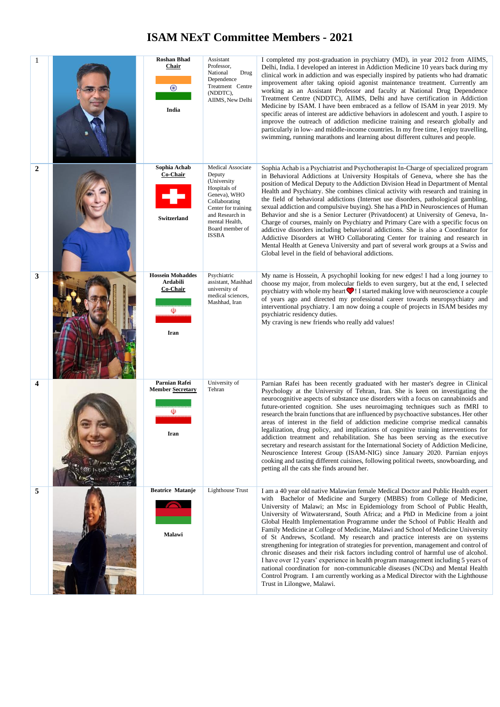## **ISAM NExT Committee Members - 2021**

| 1              | <b>Roshan Bhad</b><br><b>Chair</b><br>$_{\odot}$<br>India    | Assistant<br>Professor,<br>National<br>Drug<br>Dependence<br>Treatment Centre<br>(NDDTC),<br>AIIMS, New Delhi                                                                       | I completed my post-graduation in psychiatry (MD), in year 2012 from AIIMS,<br>Delhi, India. I developed an interest in Addiction Medicine 10 years back during my<br>clinical work in addiction and was especially inspired by patients who had dramatic<br>improvement after taking opioid agonist maintenance treatment. Currently am<br>working as an Assistant Professor and faculty at National Drug Dependence<br>Treatment Centre (NDDTC), AIIMS, Delhi and have certification in Addiction<br>Medicine by ISAM. I have been embraced as a fellow of ISAM in year 2019. My<br>specific areas of interest are addictive behaviors in adolescent and youth. I aspire to<br>improve the outreach of addiction medicine training and research globally and<br>particularly in low- and middle-income countries. In my free time, I enjoy travelling,<br>swimming, running marathons and learning about different cultures and people.                                                                                                              |
|----------------|--------------------------------------------------------------|-------------------------------------------------------------------------------------------------------------------------------------------------------------------------------------|--------------------------------------------------------------------------------------------------------------------------------------------------------------------------------------------------------------------------------------------------------------------------------------------------------------------------------------------------------------------------------------------------------------------------------------------------------------------------------------------------------------------------------------------------------------------------------------------------------------------------------------------------------------------------------------------------------------------------------------------------------------------------------------------------------------------------------------------------------------------------------------------------------------------------------------------------------------------------------------------------------------------------------------------------------|
| $\overline{2}$ | Sophia Achab<br>Co-Chair<br><b>Switzerland</b>               | Medical Associate<br>Deputy<br>(University<br>Hospitals of<br>Geneva), WHO<br>Collaborating<br>Center for training<br>and Research in<br>mental Health,<br>Board member of<br>ISSBA | Sophia Achab is a Psychiatrist and Psychotherapist In-Charge of specialized program<br>in Behavioral Addictions at University Hospitals of Geneva, where she has the<br>position of Medical Deputy to the Addiction Division Head in Department of Mental<br>Health and Psychiatry. She combines clinical activity with research and training in<br>the field of behavioral addictions (Internet use disorders, pathological gambling,<br>sexual addiction and compulsive buying). She has a PhD in Neurosciences of Human<br>Behavior and she is a Senior Lecturer (Privatdocent) at University of Geneva, In-<br>Charge of courses, mainly on Psychiatry and Primary Care with a specific focus on<br>addictive disorders including behavioral addictions. She is also a Coordinator for<br>Addictive Disorders at WHO Collaborating Center for training and research in<br>Mental Health at Geneva University and part of several work groups at a Swiss and<br>Global level in the field of behavioral addictions.                                 |
| 3              | <b>Hossein Mohaddes</b><br>Ardabili<br>Co-Chair<br>⅏<br>Iran | Psychiatric<br>assistant, Mashhad<br>university of<br>medical sciences,<br>Mashhad, Iran                                                                                            | My name is Hossein, A psychophil looking for new edges! I had a long journey to<br>choose my major, from molecular fields to even surgery, but at the end, I selected<br>psychiatry with whole my heart $\bigcirc$ ! I started making love with neuroscience a couple<br>of years ago and directed my professional career towards neuropsychiatry and<br>interventional psychiatry. I am now doing a couple of projects in ISAM besides my<br>psychiatric residency duties.<br>My craving is new friends who really add values!                                                                                                                                                                                                                                                                                                                                                                                                                                                                                                                        |
| 4              | Parnian Rafei<br><b>Member Secretary</b><br>⅏<br>Iran        | University of<br>Tehran                                                                                                                                                             | Parnian Rafei has been recently graduated with her master's degree in Clinical<br>Psychology at the University of Tehran, Iran. She is keen on investigating the<br>neurocognitive aspects of substance use disorders with a focus on cannabinoids and<br>future-oriented cognition. She uses neuroimaging techniques such as fMRI to<br>research the brain functions that are influenced by psychoactive substances. Her other<br>areas of interest in the field of addiction medicine comprise medical cannabis<br>legalization, drug policy, and implications of cognitive training interventions for<br>addiction treatment and rehabilitation. She has been serving as the executive<br>secretary and research assistant for the International Society of Addiction Medicine,<br>Neuroscience Interest Group (ISAM-NIG) since January 2020. Parnian enjoys<br>cooking and tasting different cuisines, following political tweets, snowboarding, and<br>petting all the cats she finds around her.                                                 |
| 5              | <b>Beatrice Matanje</b><br>Malawi                            | <b>Lighthouse Trust</b>                                                                                                                                                             | I am a 40 year old native Malawian female Medical Doctor and Public Health expert<br>with Bachelor of Medicine and Surgery (MBBS) from College of Medicine,<br>University of Malawi; an Msc in Epidemiology from School of Public Health,<br>University of Witwatersrand, South Africa; and a PhD in Medicine from a joint<br>Global Health Implementation Programme under the School of Public Health and<br>Family Medicine at College of Medicine, Malawi and School of Medicine University<br>of St Andrews, Scotland. My research and practice interests are on systems<br>strengthening for integration of strategies for prevention, management and control of<br>chronic diseases and their risk factors including control of harmful use of alcohol.<br>I have over 12 years' experience in health program management including 5 years of<br>national coordination for non-communicable diseases (NCDs) and Mental Health<br>Control Program. I am currently working as a Medical Director with the Lighthouse<br>Trust in Lilongwe, Malawi. |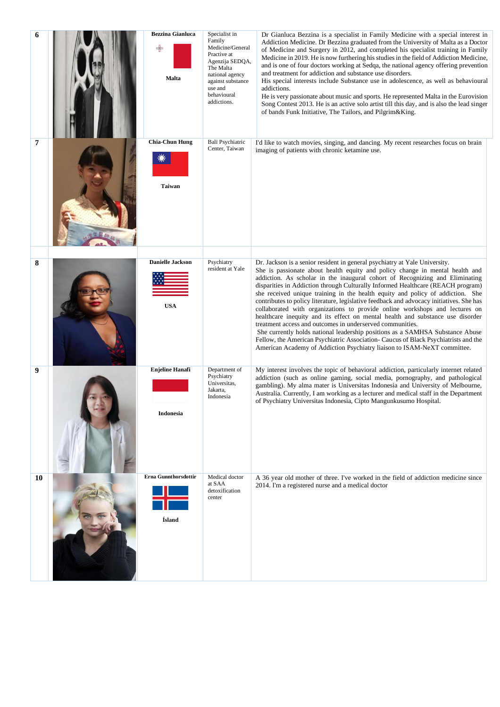| 6              | <b>Bezzina Gianluca</b><br><b>Malta</b> | Specialist in<br>Family<br>Medicine/General<br>Practive at<br>Agenzija SEDQA,<br>The Malta<br>national agency<br>against substance<br>use and<br>behavioural<br>addictions. | Dr Gianluca Bezzina is a specialist in Family Medicine with a special interest in<br>Addiction Medicine. Dr Bezzina graduated from the University of Malta as a Doctor<br>of Medicine and Surgery in 2012, and completed his specialist training in Family<br>Medicine in 2019. He is now furthering his studies in the field of Addiction Medicine,<br>and is one of four doctors working at Sedqa, the national agency offering prevention<br>and treatment for addiction and substance use disorders.<br>His special interests include Substance use in adolescence, as well as behavioural<br>addictions.<br>He is very passionate about music and sports. He represented Malta in the Eurovision<br>Song Contest 2013. He is an active solo artist till this day, and is also the lead singer<br>of bands Funk Initiative, The Tailors, and Pilgrim&King.                                                                                                                                |
|----------------|-----------------------------------------|-----------------------------------------------------------------------------------------------------------------------------------------------------------------------------|-----------------------------------------------------------------------------------------------------------------------------------------------------------------------------------------------------------------------------------------------------------------------------------------------------------------------------------------------------------------------------------------------------------------------------------------------------------------------------------------------------------------------------------------------------------------------------------------------------------------------------------------------------------------------------------------------------------------------------------------------------------------------------------------------------------------------------------------------------------------------------------------------------------------------------------------------------------------------------------------------|
| $\overline{7}$ | <b>Chia-Chun Hung</b><br><b>Taiwan</b>  | Bali Psychiatric<br>Center, Taiwan                                                                                                                                          | I'd like to watch movies, singing, and dancing. My recent researches focus on brain<br>imaging of patients with chronic ketamine use.                                                                                                                                                                                                                                                                                                                                                                                                                                                                                                                                                                                                                                                                                                                                                                                                                                                         |
| 8              | <b>Danielle Jackson</b><br><b>USA</b>   | Psychiatry<br>resident at Yale                                                                                                                                              | Dr. Jackson is a senior resident in general psychiatry at Yale University.<br>She is passionate about health equity and policy change in mental health and<br>addiction. As scholar in the inaugural cohort of Recognizing and Eliminating<br>disparities in Addiction through Culturally Informed Healthcare (REACH program)<br>she received unique training in the health equity and policy of addiction. She<br>contributes to policy literature, legislative feedback and advocacy initiatives. She has<br>collaborated with organizations to provide online workshops and lectures on<br>healthcare inequity and its effect on mental health and substance use disorder<br>treatment access and outcomes in underserved communities.<br>She currently holds national leadership positions as a SAMHSA Substance Abuse<br>Fellow, the American Psychiatric Association- Caucus of Black Psychiatrists and the<br>American Academy of Addiction Psychiatry liaison to ISAM-NeXT committee. |
| 9              | <b>Enjeline Hanafi</b><br>Indonesia     | Department of<br>Psychiatry<br>Universitas,<br>Jakarta,<br>Indonesia                                                                                                        | My interest involves the topic of behavioral addiction, particularly internet related<br>addiction (such as online gaming, social media, pornography, and pathological<br>gambling). My alma mater is Universitas Indonesia and University of Melbourne,<br>Australia. Currently, I am working as a lecturer and medical staff in the Department<br>of Psychiatry Universitas Indonesia, Cipto Mangunkusumo Hospital.                                                                                                                                                                                                                                                                                                                                                                                                                                                                                                                                                                         |
| 10             | <b>Erna Gunnthorsdottir</b><br>Ísland   | Medical doctor<br>at SAA<br>detoxification<br>center                                                                                                                        | A 36 year old mother of three. I've worked in the field of addiction medicine since<br>2014. I'm a registered nurse and a medical doctor                                                                                                                                                                                                                                                                                                                                                                                                                                                                                                                                                                                                                                                                                                                                                                                                                                                      |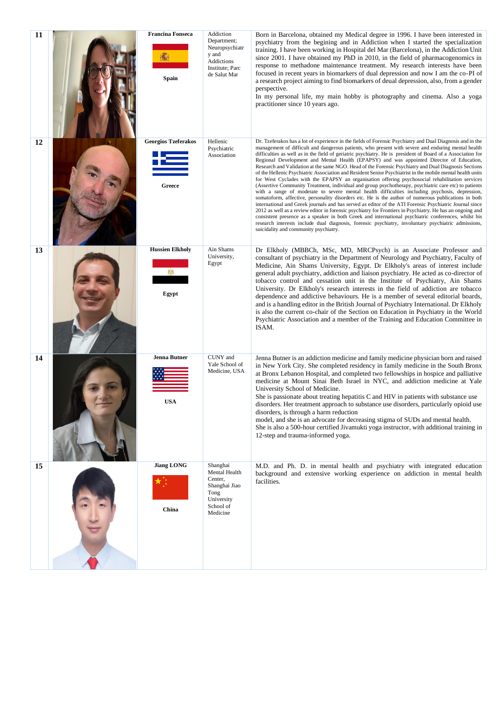| 11 | <b>Francina Fonseca</b><br>Spain     | Addiction<br>Department;<br>Neuropsychiatr<br>y and<br>Addictions<br>Institute; Parc<br>de Salut Mar | Born in Barcelona, obtained my Medical degree in 1996. I have been interested in<br>psychiatry from the begining and in Addiction when I started the specialization<br>training. I have been working in Hospital del Mar (Barcelona), in the Addiction Unit<br>since 2001. I have obtained my PhD in 2010, in the field of pharmacogenomics in<br>response to methadone maintenance treatment. My research interests have been<br>focused in recent years in biomarkers of dual depression and now I am the co-PI of<br>a research project aiming to find biomarkers of deual depression, also, from a gender<br>perspective.<br>In my personal life, my main hobby is photography and cinema. Also a yoga<br>practitioner since 10 years ago.                                                                                                                                                                                                                                                                                                                                                                                                                                                                                                                                                                                                                                                                                                                                                                                                        |
|----|--------------------------------------|------------------------------------------------------------------------------------------------------|-------------------------------------------------------------------------------------------------------------------------------------------------------------------------------------------------------------------------------------------------------------------------------------------------------------------------------------------------------------------------------------------------------------------------------------------------------------------------------------------------------------------------------------------------------------------------------------------------------------------------------------------------------------------------------------------------------------------------------------------------------------------------------------------------------------------------------------------------------------------------------------------------------------------------------------------------------------------------------------------------------------------------------------------------------------------------------------------------------------------------------------------------------------------------------------------------------------------------------------------------------------------------------------------------------------------------------------------------------------------------------------------------------------------------------------------------------------------------------------------------------------------------------------------------------|
| 12 | <b>Georgios Tzeferakos</b><br>Greece | Hellenic<br>Psychiatric<br>Association                                                               | Dr. Tzeferakos has a lot of experience in the fields of Forensic Psychiatry and Dual Diagnosis and in the<br>management of difficult and dangerous patients, who present with severe and enduring mental health<br>difficulties as well as in the field of geriatric psychiatry. He is president of Board of a Association for<br>Regional Development and Mental Health (EPAPSY) and was appointed Director of Education,<br>Research and Validation at the same NGO. Head of the Forensic Psychiatry and Dual Diagnosis Sections<br>of the Hellenic Psychiatric Association and Resident Senior Psychiatrist in the mobile mental health units<br>for West Cyclades with the EPAPSY an organisation offering psychosocial rehabilitation services<br>(Assertive Community Treatment, individual and group psychotherapy, psychiatric care etc) to patients<br>with a range of moderate to severe mental health difficulties including psychosis, depression,<br>somatoform, affective, personality disorders etc. He is the author of numerous publications in both<br>international and Greek journals and has served as editor of the ATI Forensic Psychiatric Journal since<br>2012 as well as a review editor in forensic psychiatry for Frontiers in Psychiatry. He has an ongoing and<br>consistent presence as a speaker in both Greek and international psychiatric conferences, whilst his<br>research interests include dual diagnosis, forensic psychiatry, involuntary psychiatric admissions,<br>suicidality and community psychiatry. |
| 13 | <b>Hussien Elkholy</b><br>Egypt      | Ain Shams<br>University,<br>Egypt                                                                    | Dr Elkholy (MBBCh, MSc, MD, MRCPsych) is an Associate Professor and<br>consultant of psychiatry in the Department of Neurology and Psychiatry, Faculty of<br>Medicine, Ain Shams University, Egypt. Dr Elkholy's areas of interest include<br>general adult psychiatry, addiction and liaison psychiatry. He acted as co-director of<br>tobacco control and cessation unit in the Institute of Psychiatry, Ain Shams<br>University. Dr Elkholy's research interests in the field of addiction are tobacco<br>dependence and addictive behaviours. He is a member of several editorial boards,<br>and is a handling editor in the British Journal of Psychiatry International. Dr Elkholy<br>is also the current co-chair of the Section on Education in Psychiatry in the World<br>Psychiatric Association and a member of the Training and Education Committee in<br>ISAM.                                                                                                                                                                                                                                                                                                                                                                                                                                                                                                                                                                                                                                                                           |
| 14 | <b>Jenna Butner</b><br><b>USA</b>    | CUNY and<br>Yale School of<br>Medicine, USA                                                          | Jenna Butner is an addiction medicine and family medicine physician born and raised<br>in New York City. She completed residency in family medicine in the South Bronx<br>at Bronx Lebanon Hospital, and completed two fellowships in hospice and palliative<br>medicine at Mount Sinai Beth Israel in NYC, and addiction medicine at Yale<br>University School of Medicine.<br>She is passionate about treating hepatitis C and HIV in patients with substance use<br>disorders. Her treatment approach to substance use disorders, particularly opioid use<br>disorders, is through a harm reduction<br>model, and she is an advocate for decreasing stigma of SUDs and mental health.<br>She is also a 500-hour certified Jivamukti yoga instructor, with additional training in<br>12-step and trauma-informed yoga.                                                                                                                                                                                                                                                                                                                                                                                                                                                                                                                                                                                                                                                                                                                              |
| 15 | <b>Jiang LONG</b><br>China           | Shanghai<br>Mental Health<br>Center,<br>Shanghai Jiao<br>Tong<br>University<br>School of<br>Medicine | M.D. and Ph. D. in mental health and psychiatry with integrated education<br>background and extensive working experience on addiction in mental health<br>facilities.                                                                                                                                                                                                                                                                                                                                                                                                                                                                                                                                                                                                                                                                                                                                                                                                                                                                                                                                                                                                                                                                                                                                                                                                                                                                                                                                                                                 |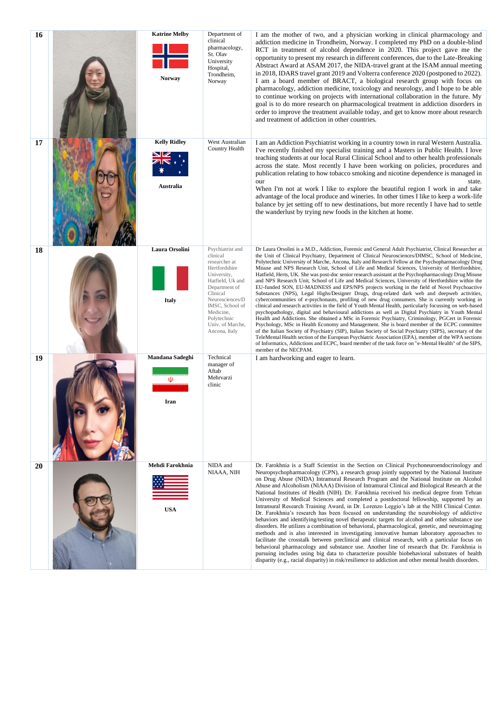| 16 | <b>Katrine Melby</b><br>Norway   | Department of<br>clinical<br>pharmacology,<br>St. Olav<br>University<br>Hospital,<br>Trondheim,<br>Norway                                                                                                                             | I am the mother of two, and a physician working in clinical pharmacology and<br>addiction medicine in Trondheim, Norway. I completed my PhD on a double-blind<br>RCT in treatment of alcohol dependence in 2020. This project gave me the<br>opportunity to present my research in different conferences, due to the Late-Breaking<br>Abstract Award at ASAM 2017, the NIDA-travel grant at the ISAM annual meeting<br>in 2018, IDARS travel grant 2019 and Volterra conference 2020 (postponed to 2022).<br>I am a board member of BRACT, a biological research group with focus on<br>pharmacology, addiction medicine, toxicology and neurology, and I hope to be able<br>to continue working on projects with international collaboration in the future. My<br>goal is to do more research on pharmacological treatment in addiction disorders in<br>order to improve the treatment available today, and get to know more about research<br>and treatment of addiction in other countries.                                                                                                                                                                                                                                                                                                                                                                                                                                                                                                                                                                                                                                                                                                                 |
|----|----------------------------------|---------------------------------------------------------------------------------------------------------------------------------------------------------------------------------------------------------------------------------------|----------------------------------------------------------------------------------------------------------------------------------------------------------------------------------------------------------------------------------------------------------------------------------------------------------------------------------------------------------------------------------------------------------------------------------------------------------------------------------------------------------------------------------------------------------------------------------------------------------------------------------------------------------------------------------------------------------------------------------------------------------------------------------------------------------------------------------------------------------------------------------------------------------------------------------------------------------------------------------------------------------------------------------------------------------------------------------------------------------------------------------------------------------------------------------------------------------------------------------------------------------------------------------------------------------------------------------------------------------------------------------------------------------------------------------------------------------------------------------------------------------------------------------------------------------------------------------------------------------------------------------------------------------------------------------------------------------------|
| 17 | <b>Kelly Ridley</b><br>Australia | West Australian<br>Country Health                                                                                                                                                                                                     | I am an Addiction Psychiatrist working in a country town in rural Western Australia.<br>I've recently finished my specialist training and a Masters in Public Health. I love<br>teaching students at our local Rural Clinical School and to other health professionals<br>across the state. Most recently I have been working on policies, procedures and<br>publication relating to how tobacco smoking and nicotine dependence is managed in<br>our<br>state.<br>When I'm not at work I like to explore the beautiful region I work in and take<br>advantage of the local produce and wineries. In other times I like to keep a work-life<br>balance by jet setting off to new destinations, but more recently I have had to settle<br>the wanderlust by trying new foods in the kitchen at home.                                                                                                                                                                                                                                                                                                                                                                                                                                                                                                                                                                                                                                                                                                                                                                                                                                                                                                            |
| 18 | Laura Orsolini<br><b>Italy</b>   | Psychiatrist and<br>clinical<br>researcher at<br>Hertfordshire<br>University,<br>Hatfield, Uk and<br>Department of<br>Clinical<br>Neurosciences/D<br>IMSC, School of<br>Medicine,<br>Polytechnic<br>Univ. of Marche,<br>Ancona, Italy | Dr Laura Orsolini is a M.D., Addiction, Forensic and General Adult Psychiatrist, Clinical Researcher at<br>the Unit of Clinical Psychiatry, Department of Clinical Neurosciences/DIMSC, School of Medicine,<br>Polytechnic University of Marche, Ancona, Italy and Research Fellow at the Psychopharmacology Drug<br>Misuse and NPS Research Unit, School of Life and Medical Sciences, University of Hertfordshire,<br>Hatfield, Herts, UK. She was post-doc senior research assistant at the Psychopharmacology Drug Misuse<br>and NPS Research Unit, School of Life and Medical Sciences, University of Hertfordshire within the<br>EU-funded SON, EU-MADNESS and EPS/NPS projects working in the field of Novel Psychoactive<br>Substances (NPS), Legal Highs/Designer Drugs, drug-related dark web and deepweb activities,<br>cybercommunities of e-psychonauts, profiling of new drug consumers. She is currently working in<br>clinical and research activities in the field of Youth Mental Health, particularly focussing on web-based<br>psychopathology, digital and behavioural addictions as well as Digital Psychiatry in Youth Mental<br>Health and Addictions. She obtained a MSc in Forensic Psychiatry, Criminology, PGCert in Forensic<br>Psychology, MSc in Health Economy and Management. She is board member of the ECPC committee<br>of the Italian Society of Psychiatry (SIP), Italian Society of Social Psychiatry (SIPS), secretary of the<br>TeleMental Health section of the European Psychiatric Association (EPA), member of the WPA sections<br>of Informatics, Addictions and ECPC, board member of the task force on "e-Mental Health" of the SIPS,<br>member of the NECPAM. |
| 19 | Mandana Sadeghi<br>(Ü)<br>Iran   | Technical<br>manager of<br>Aftab<br>Mehrvarzi<br>clinic                                                                                                                                                                               | I am hardworking and eager to learn.                                                                                                                                                                                                                                                                                                                                                                                                                                                                                                                                                                                                                                                                                                                                                                                                                                                                                                                                                                                                                                                                                                                                                                                                                                                                                                                                                                                                                                                                                                                                                                                                                                                                           |
| 20 | Mehdi Farokhnia<br><b>USA</b>    | NIDA and<br>NIAAA, NIH                                                                                                                                                                                                                | Dr. Farokhnia is a Staff Scientist in the Section on Clinical Psychoneuroendocrinology and<br>Neuropsychopharmacology (CPN), a research group jointly supported by the National Institute<br>on Drug Abuse (NIDA) Intramural Research Program and the National Institute on Alcohol<br>Abuse and Alcoholism (NIAAA) Division of Intramural Clinical and Biological Research at the<br>National Institutes of Health (NIH). Dr. Farokhnia received his medical degree from Tehran<br>University of Medical Sciences and completed a postdoctoral fellowship, supported by an<br>Intramural Research Training Award, in Dr. Lorenzo Leggio's lab at the NIH Clinical Center.<br>Dr. Farokhnia's research has been focused on understanding the neurobiology of addictive<br>behaviors and identifying/testing novel therapeutic targets for alcohol and other substance use<br>disorders. He utilizes a combination of behavioral, pharmacological, genetic, and neuroimaging<br>methods and is also interested in investigating innovative human laboratory approaches to<br>facilitate the crosstalk between preclinical and clinical research, with a particular focus on<br>behavioral pharmacology and substance use. Another line of research that Dr. Farokhnia is<br>pursuing includes using big data to characterize possible biobehavioral substrates of health<br>disparity (e.g., racial disparity) in risk/resilience to addiction and other mental health disorders.                                                                                                                                                                                                                               |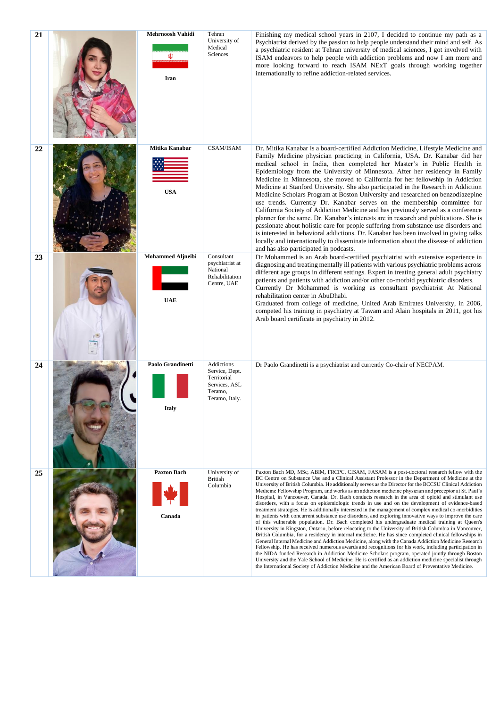| 21 | Mehrnoosh Vahidi<br>(Ū)<br>Iran        | Tehran<br>University of<br>Medical<br>Sciences                                            | Finishing my medical school years in 2107, I decided to continue my path as a<br>Psychiatrist derived by the passion to help people understand their mind and self. As<br>a psychiatric resident at Tehran university of medical sciences, I got involved with<br>ISAM endeavors to help people with addiction problems and now I am more and<br>more looking forward to reach ISAM NExT goals through working together<br>internationally to refine addiction-related services.                                                                                                                                                                                                                                                                                                                                                                                                                                                                                                                                                                                                                                                                                                                                                                                                                                                                                                                                                                                                                                                                                                                                                                                                                             |
|----|----------------------------------------|-------------------------------------------------------------------------------------------|--------------------------------------------------------------------------------------------------------------------------------------------------------------------------------------------------------------------------------------------------------------------------------------------------------------------------------------------------------------------------------------------------------------------------------------------------------------------------------------------------------------------------------------------------------------------------------------------------------------------------------------------------------------------------------------------------------------------------------------------------------------------------------------------------------------------------------------------------------------------------------------------------------------------------------------------------------------------------------------------------------------------------------------------------------------------------------------------------------------------------------------------------------------------------------------------------------------------------------------------------------------------------------------------------------------------------------------------------------------------------------------------------------------------------------------------------------------------------------------------------------------------------------------------------------------------------------------------------------------------------------------------------------------------------------------------------------------|
| 22 | Mitika Kanabar<br><b>USA</b>           | CSAM/ISAM                                                                                 | Dr. Mitika Kanabar is a board-certified Addiction Medicine, Lifestyle Medicine and<br>Family Medicine physician practicing in California, USA. Dr. Kanabar did her<br>medical school in India, then completed her Master's in Public Health in<br>Epidemiology from the University of Minnesota. After her residency in Family<br>Medicine in Minnesota, she moved to California for her fellowship in Addiction<br>Medicine at Stanford University. She also participated in the Research in Addiction<br>Medicine Scholars Program at Boston University and researched on benzodiazepine<br>use trends. Currently Dr. Kanabar serves on the membership committee for<br>California Society of Addiction Medicine and has previously served as a conference<br>planner for the same. Dr. Kanabar's interests are in research and publications. She is<br>passionate about holistic care for people suffering from substance use disorders and<br>is interested in behavioral addictions. Dr. Kanabar has been involved in giving talks<br>locally and internationally to disseminate information about the disease of addiction<br>and has also participated in podcasts.                                                                                                                                                                                                                                                                                                                                                                                                                                                                                                                                   |
| 23 | <b>Mohammed Aljneibi</b><br><b>UAE</b> | Consultant<br>psychiatrist at<br>National<br>Rehabilitation<br>Centre, UAE                | Dr Mohammed is an Arab board-certified psychiatrist with extensive experience in<br>diagnosing and treating mentally ill patients with various psychiatric problems across<br>different age groups in different settings. Expert in treating general adult psychiatry<br>patients and patients with addiction and/or other co-morbid psychiatric disorders.<br>Currently Dr Mohammed is working as consultant psychiatrist At National<br>rehabilitation center in AbuDhabi.<br>Graduated from college of medicine, United Arab Emirates University, in 2006,<br>competed his training in psychiatry at Tawam and Alain hospitals in 2011, got his<br>Arab board certificate in psychiatry in 2012.                                                                                                                                                                                                                                                                                                                                                                                                                                                                                                                                                                                                                                                                                                                                                                                                                                                                                                                                                                                                          |
| 24 | Paolo Grandinetti                      | Addictions<br>Service, Dept.<br>Territorial<br>Services, ASL<br>Teramo,<br>Teramo, Italy. | Dr Paolo Grandinetti is a psychiatrist and currently Co-chair of NECPAM.                                                                                                                                                                                                                                                                                                                                                                                                                                                                                                                                                                                                                                                                                                                                                                                                                                                                                                                                                                                                                                                                                                                                                                                                                                                                                                                                                                                                                                                                                                                                                                                                                                     |
| 25 | <b>Paxton Bach</b><br>Canada           | University of<br><b>British</b><br>Columbia                                               | Paxton Bach MD, MSc, ABIM, FRCPC, CISAM, FASAM is a post-doctoral research fellow with the<br>BC Centre on Substance Use and a Clinical Assistant Professor in the Department of Medicine at the<br>University of British Columbia. He additionally serves as the Director for the BCCSU Clinical Addiction<br>Medicine Fellowship Program, and works as an addiction medicine physician and preceptor at St. Paul's<br>Hospital, in Vancouver, Canada. Dr. Bach conducts research in the area of opioid and stimulant use<br>disorders, with a focus on epidemiologic trends in use and on the development of evidence-based<br>treatment strategies. He is additionally interested in the management of complex medical co-morbidities<br>in patients with concurrent substance use disorders, and exploring innovative ways to improve the care<br>of this vulnerable population. Dr. Bach completed his undergraduate medical training at Queen's<br>University in Kingston, Ontario, before relocating to the University of British Columbia in Vancouver,<br>British Columbia, for a residency in internal medicine. He has since completed clinical fellowships in<br>General Internal Medicine and Addiction Medicine, along with the Canada Addiction Medicine Research<br>Fellowship. He has received numerous awards and recognitions for his work, including participation in<br>the NIDA funded Research in Addiction Medicine Scholars program, operated jointly through Boston<br>University and the Yale School of Medicine. He is certified as an addiction medicine specialist through<br>the International Society of Addiction Medicine and the American Board of Preventative Medicine. |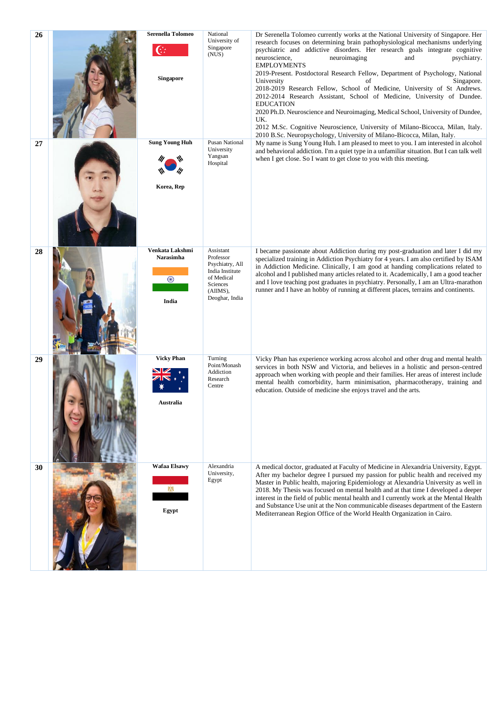| 26 | <b>Serenella Tolomeo</b><br>$\mathbb{G}$<br><b>Singapore</b> | National<br>University of<br>Singapore<br>(NUS)                                                                      | Dr Serenella Tolomeo currently works at the National University of Singapore. Her<br>research focuses on determining brain pathophysiological mechanisms underlying<br>psychiatric and addictive disorders. Her research goals integrate cognitive<br>neuroimaging<br>neuroscience,<br>psychiatry.<br>and<br><b>EMPLOYMENTS</b><br>2019-Present. Postdoctoral Research Fellow, Department of Psychology, National<br>University<br>of<br>Singapore.<br>2018-2019 Research Fellow, School of Medicine, University of St Andrews.<br>2012-2014 Research Assistant, School of Medicine, University of Dundee.<br><b>EDUCATION</b><br>2020 Ph.D. Neuroscience and Neuroimaging, Medical School, University of Dundee,<br>UK.<br>2012 M.Sc. Cognitive Neuroscience, University of Milano-Bicocca, Milan, Italy.<br>2010 B.Sc. Neuropsychology, University of Milano-Bicocca, Milan, Italy. |
|----|--------------------------------------------------------------|----------------------------------------------------------------------------------------------------------------------|---------------------------------------------------------------------------------------------------------------------------------------------------------------------------------------------------------------------------------------------------------------------------------------------------------------------------------------------------------------------------------------------------------------------------------------------------------------------------------------------------------------------------------------------------------------------------------------------------------------------------------------------------------------------------------------------------------------------------------------------------------------------------------------------------------------------------------------------------------------------------------------|
| 27 | <b>Sung Young Huh</b><br>Korea, Rep                          | <b>Pusan National</b><br>University<br>Yangsan<br>Hospital                                                           | My name is Sung Young Huh. I am pleased to meet to you. I am interested in alcohol<br>and behavioral addiction. I'm a quiet type in a unfamiliar situation. But I can talk well<br>when I get close. So I want to get close to you with this meeting.                                                                                                                                                                                                                                                                                                                                                                                                                                                                                                                                                                                                                                 |
| 28 | Venkata Lakshmi<br>Narasimha<br>$\odot$<br>India             | Assistant<br>Professor<br>Psychiatry, All<br>India Institute<br>of Medical<br>Sciences<br>(AIIMS),<br>Deoghar, India | I became passionate about Addiction during my post-graduation and later I did my<br>specialized training in Addiction Psychiatry for 4 years. I am also certified by ISAM<br>in Addiction Medicine. Clinically, I am good at handing complications related to<br>alcohol and I published many articles related to it. Academically, I am a good teacher<br>and I love teaching post graduates in psychiatry. Personally, I am an Ultra-marathon<br>runner and I have an hobby of running at different places, terrains and continents.                                                                                                                                                                                                                                                                                                                                                |
| 29 | <b>Vicky Phan</b><br>Australia                               | Turning<br>Point/Monash<br>Addiction<br>Research<br>Centre                                                           | Vicky Phan has experience working across alcohol and other drug and mental health<br>services in both NSW and Victoria, and believes in a holistic and person-centred<br>approach when working with people and their families. Her areas of interest include<br>mental health comorbidity, harm minimisation, pharmacotherapy, training and<br>education. Outside of medicine she enjoys travel and the arts.                                                                                                                                                                                                                                                                                                                                                                                                                                                                         |
| 30 | <b>Wafaa Elsawy</b><br>Egypt                                 | Alexandria<br>University,<br>Egypt                                                                                   | A medical doctor, graduated at Faculty of Medicine in Alexandria University, Egypt.<br>After my bachelor degree I pursued my passion for public health and received my<br>Master in Public health, majoring Epidemiology at Alexandria University as well in<br>2018. My Thesis was focused on mental health and at that time I developed a deeper<br>interest in the field of public mental health and I currently work at the Mental Health<br>and Substance Use unit at the Non communicable diseases department of the Eastern<br>Mediterranean Region Office of the World Health Organization in Cairo.                                                                                                                                                                                                                                                                          |